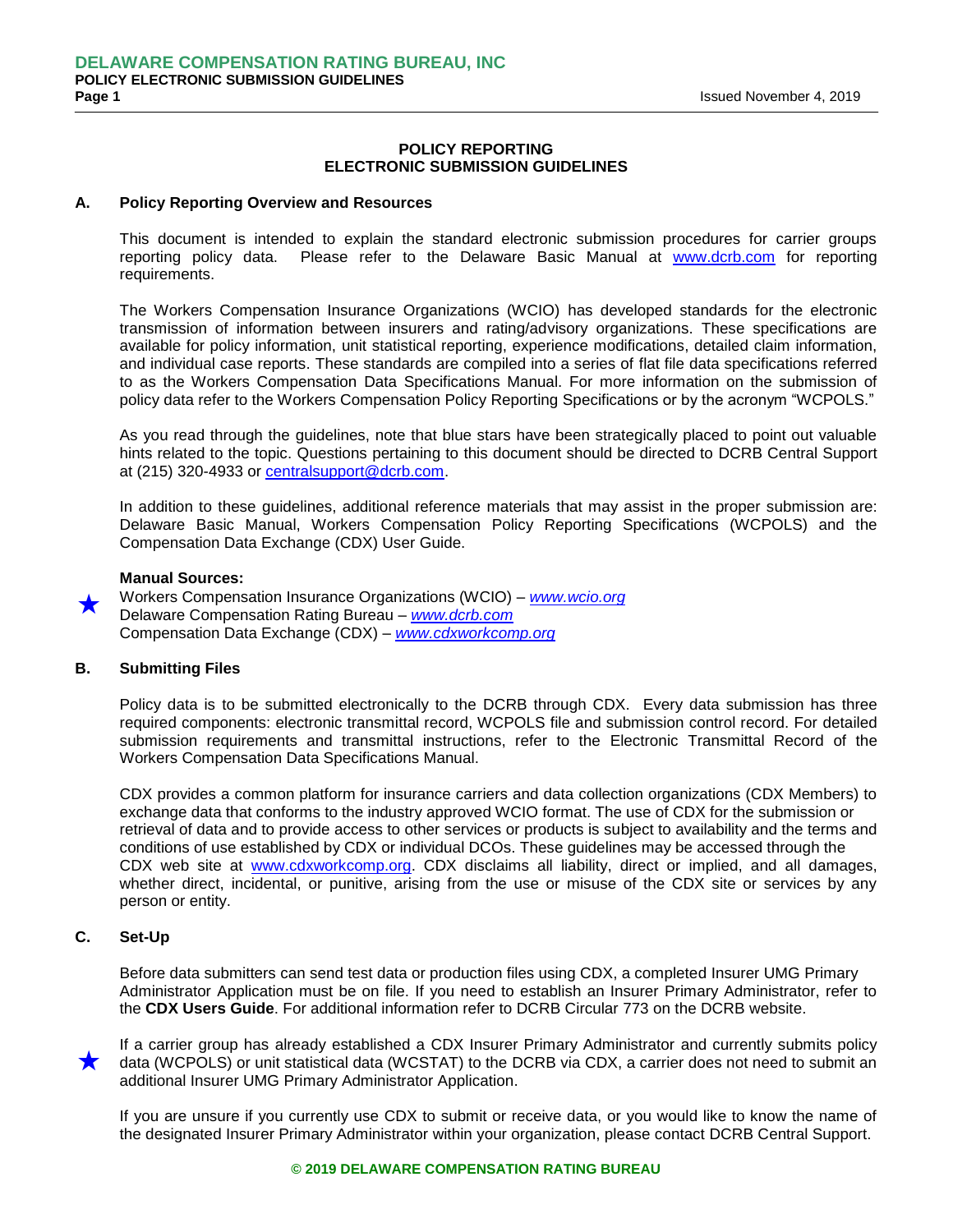# **POLICY REPORTING ELECTRONIC SUBMISSION GUIDELINES**

#### **A. Policy Reporting Overview and Resources**

This document is intended to explain the standard electronic submission procedures for carrier groups reporting policy data. Please refer to the Delaware Basic Manual at [www.dcrb.com](http://www.dcrb.com/) for reporting requirements.

The Workers Compensation Insurance Organizations (WCIO) has developed standards for the electronic transmission of information between insurers and rating/advisory organizations. These specifications are available for policy information, unit statistical reporting, experience modifications, detailed claim information, and individual case reports. These standards are compiled into a series of flat file data specifications referred to as the Workers Compensation Data Specifications Manual. For more information on the submission of policy data refer to the Workers Compensation Policy Reporting Specifications or by the acronym "WCPOLS."

As you read through the guidelines, note that blue stars have been strategically placed to point out valuable hints related to the topic. Questions pertaining to this document should be directed to DCRB Central Support at (215) 320-4933 or [centralsupport@dcrb.com.](mailto:centralsupport@dcrb.com)

In addition to these guidelines, additional reference materials that may assist in the proper submission are: Delaware Basic Manual, Workers Compensation Policy Reporting Specifications (WCPOLS) and the Compensation Data Exchange (CDX) User Guide.

#### **Manual Sources:**

 $\star$ 

Workers Compensation Insurance Organizations (WCIO) – *[www.wcio.org](http://www.wcio.org/)* Delaware Compensation Rating Bureau – *[www.dcrb.com](http://www.dcrb.com/)* Compensation Data Exchange (CDX) – *[www.cdxworkcomp.org](http://www.cdxworkcomp.org/)*

## **B. Submitting Files**

Policy data is to be submitted electronically to the DCRB through CDX. Every data submission has three required components: electronic transmittal record, WCPOLS file and submission control record. For detailed submission requirements and transmittal instructions, refer to the Electronic Transmittal Record of the Workers Compensation Data Specifications Manual.

CDX provides a common platform for insurance carriers and data collection organizations (CDX Members) to exchange data that conforms to the industry approved WCIO format. The use of CDX for the submission or retrieval of data and to provide access to other services or products is subject to availability and the terms and conditions of use established by CDX or individual DCOs. These guidelines may be accessed through the CDX web site at [www.cdxworkcomp.org.](http://www.cdxworkcomp.org/) CDX disclaims all liability, direct or implied, and all damages, whether direct, incidental, or punitive, arising from the use or misuse of the CDX site or services by any person or entity.

# **C. Set-Up**

Before data submitters can send test data or production files using CDX, a completed Insurer UMG Primary Administrator Application must be on file. If you need to establish an Insurer Primary Administrator, refer to the **CDX Users Guide**. For additional information refer to DCRB Circular 773 on the DCRB website.

 $\star$ If a carrier group has already established a CDX Insurer Primary Administrator and currently submits policy data (WCPOLS) or unit statistical data (WCSTAT) to the DCRB via CDX, a carrier does not need to submit an additional Insurer UMG Primary Administrator Application.

If you are unsure if you currently use CDX to submit or receive data, or you would like to know the name of the designated Insurer Primary Administrator within your organization, please contact DCRB Central Support.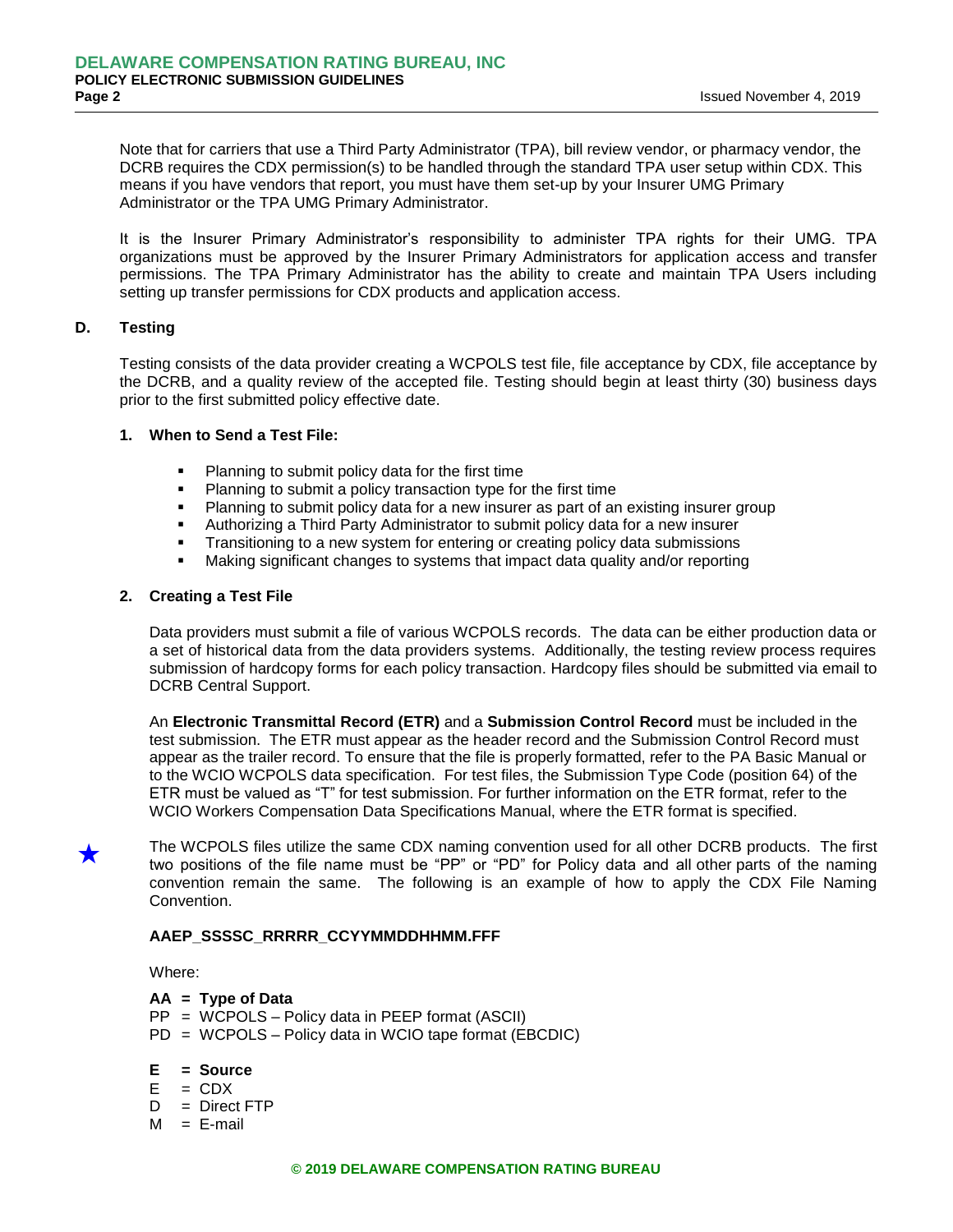Note that for carriers that use a Third Party Administrator (TPA), bill review vendor, or pharmacy vendor, the DCRB requires the CDX permission(s) to be handled through the standard TPA user setup within CDX. This means if you have vendors that report, you must have them set-up by your Insurer UMG Primary Administrator or the TPA UMG Primary Administrator.

It is the Insurer Primary Administrator's responsibility to administer TPA rights for their UMG. TPA organizations must be approved by the Insurer Primary Administrators for application access and transfer permissions. The TPA Primary Administrator has the ability to create and maintain TPA Users including setting up transfer permissions for CDX products and application access.

#### **D. Testing**

Testing consists of the data provider creating a WCPOLS test file, file acceptance by CDX, file acceptance by the DCRB, and a quality review of the accepted file. Testing should begin at least thirty (30) business days prior to the first submitted policy effective date.

#### **1. When to Send a Test File:**

- **Planning to submit policy data for the first time**
- Planning to submit a policy transaction type for the first time
- Planning to submit policy data for a new insurer as part of an existing insurer group
- Authorizing a Third Party Administrator to submit policy data for a new insurer
- Transitioning to a new system for entering or creating policy data submissions
- Making significant changes to systems that impact data quality and/or reporting

## **2. Creating a Test File**

Data providers must submit a file of various WCPOLS records. The data can be either production data or a set of historical data from the data providers systems. Additionally, the testing review process requires submission of hardcopy forms for each policy transaction. Hardcopy files should be submitted via email to DCRB Central Support.

An **Electronic Transmittal Record (ETR)** and a **Submission Control Record** must be included in the test submission. The ETR must appear as the header record and the Submission Control Record must appear as the trailer record. To ensure that the file is properly formatted, refer to the PA Basic Manual or to the WCIO WCPOLS data specification. For test files, the Submission Type Code (position 64) of the ETR must be valued as "T" for test submission. For further information on the ETR format, refer to the WCIO Workers Compensation Data Specifications Manual, where the ETR format is specified.



The WCPOLS files utilize the same CDX naming convention used for all other DCRB products. The first two positions of the file name must be "PP" or "PD" for Policy data and all other parts of the naming convention remain the same. The following is an example of how to apply the CDX File Naming Convention.

## **AAEP\_SSSSC\_RRRRR\_CCYYMMDDHHMM.FFF**

Where:

- **AA = Type of Data**
- PP = WCPOLS Policy data in PEEP format (ASCII)
- PD = WCPOLS Policy data in WCIO tape format (EBCDIC)
- **E = Source**
- $E = CDX$
- $D =$  Direct FTP
- $M = E$ -mail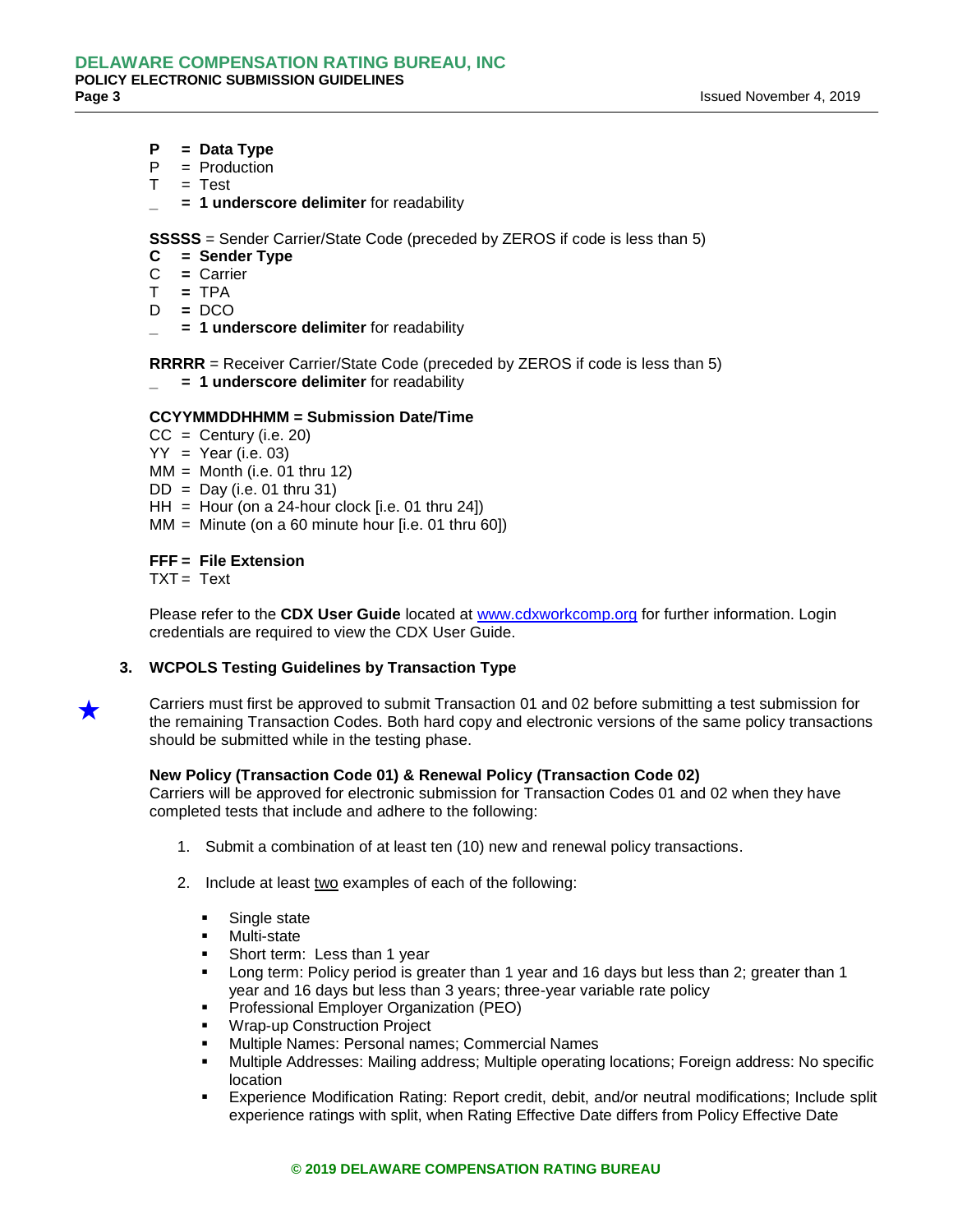- **P = Data Type**
- $P =$  Production
- $T = Test$
- **\_ = 1 underscore delimiter** for readability

**SSSSS** = Sender Carrier/State Code (preceded by ZEROS if code is less than 5)

- **C = Sender Type**
- C **=** Carrier
- T **=** TPA
- D **=** DCO
- **\_ = 1 underscore delimiter** for readability

**RRRRR** = Receiver Carrier/State Code (preceded by ZEROS if code is less than 5)

**\_ = 1 underscore delimiter** for readability

#### **CCYYMMDDHHMM = Submission Date/Time**

- $CC = Century (i.e. 20)$
- $YY = Year (i.e. 03)$
- $MM =$  Month (i.e. 01 thru 12)
- $DD = Day$  (i.e. 01 thru 31)
- $HH =$  Hour (on a 24-hour clock [i.e. 01 thru 24])
- $MM =$  Minute (on a 60 minute hour [i.e. 01 thru 60])

## **FFF = File Extension**

TXT = Text

Please refer to the **CDX User Guide** located at [www.cdxworkcomp.org](http://www.cdxworkcomp.org/) for further information. Login credentials are required to view the CDX User Guide.

**3. WCPOLS Testing Guidelines by Transaction Type**

Carriers must first be approved to submit Transaction 01 and 02 before submitting a test submission for the remaining Transaction Codes. Both hard copy and electronic versions of the same policy transactions should be submitted while in the testing phase.

## **New Policy (Transaction Code 01) & Renewal Policy (Transaction Code 02)**

Carriers will be approved for electronic submission for Transaction Codes 01 and 02 when they have completed tests that include and adhere to the following:

- 1. Submit a combination of at least ten (10) new and renewal policy transactions.
- 2. Include at least two examples of each of the following:
	- Single state
	- **Multi-state**
	- Short term: Less than 1 year
	- Long term: Policy period is greater than 1 year and 16 days but less than 2; greater than 1 year and 16 days but less than 3 years; three-year variable rate policy
	- Professional Employer Organization (PEO)
	- Wrap-up Construction Project
	- Multiple Names: Personal names; Commercial Names
	- Multiple Addresses: Mailing address; Multiple operating locations; Foreign address: No specific location
	- Experience Modification Rating: Report credit, debit, and/or neutral modifications; Include split experience ratings with split, when Rating Effective Date differs from Policy Effective Date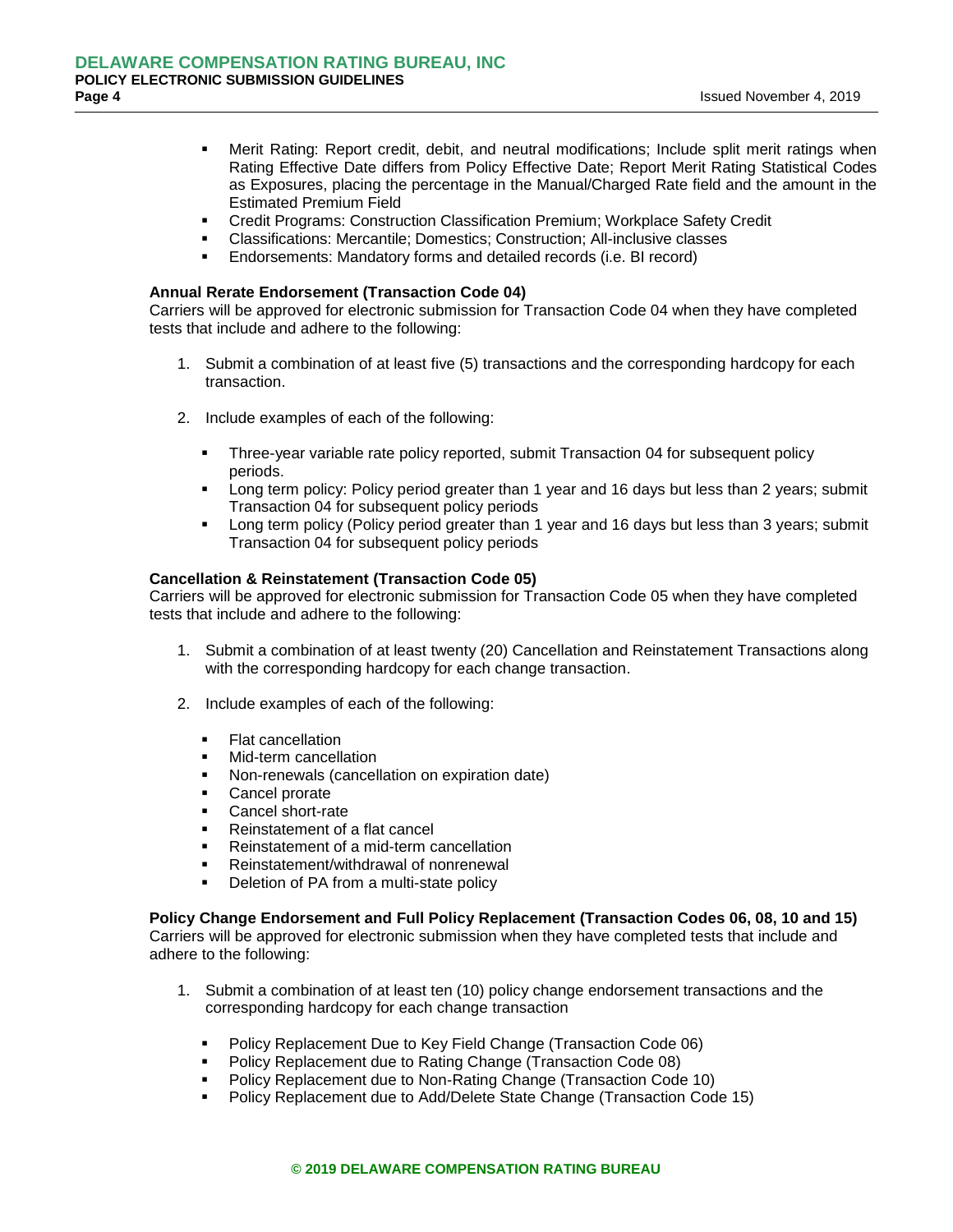- Merit Rating: Report credit, debit, and neutral modifications; Include split merit ratings when Rating Effective Date differs from Policy Effective Date; Report Merit Rating Statistical Codes as Exposures, placing the percentage in the Manual/Charged Rate field and the amount in the Estimated Premium Field
- Credit Programs: Construction Classification Premium; Workplace Safety Credit
- Classifications: Mercantile; Domestics; Construction; All-inclusive classes
- **Endorsements: Mandatory forms and detailed records (i.e. BI record)**

#### **Annual Rerate Endorsement (Transaction Code 04)**

Carriers will be approved for electronic submission for Transaction Code 04 when they have completed tests that include and adhere to the following:

- 1. Submit a combination of at least five (5) transactions and the corresponding hardcopy for each transaction.
- 2. Include examples of each of the following:
	- Three-year variable rate policy reported, submit Transaction 04 for subsequent policy periods.
	- Long term policy: Policy period greater than 1 year and 16 days but less than 2 years; submit Transaction 04 for subsequent policy periods
	- Long term policy (Policy period greater than 1 year and 16 days but less than 3 years; submit Transaction 04 for subsequent policy periods

#### **Cancellation & Reinstatement (Transaction Code 05)**

Carriers will be approved for electronic submission for Transaction Code 05 when they have completed tests that include and adhere to the following:

- 1. Submit a combination of at least twenty (20) Cancellation and Reinstatement Transactions along with the corresponding hardcopy for each change transaction.
- 2. Include examples of each of the following:
	- **Flat cancellation**
	- Mid-term cancellation
	- Non-renewals (cancellation on expiration date)
	- **Cancel prorate**
	- Cancel short-rate
	- Reinstatement of a flat cancel
	- Reinstatement of a mid-term cancellation
	- Reinstatement/withdrawal of nonrenewal
	- **•** Deletion of PA from a multi-state policy

**Policy Change Endorsement and Full Policy Replacement (Transaction Codes 06, 08, 10 and 15)**  Carriers will be approved for electronic submission when they have completed tests that include and adhere to the following:

- 1. Submit a combination of at least ten (10) policy change endorsement transactions and the corresponding hardcopy for each change transaction
	- Policy Replacement Due to Key Field Change (Transaction Code 06)
	- Policy Replacement due to Rating Change (Transaction Code 08)
	- Policy Replacement due to Non-Rating Change (Transaction Code 10)
	- Policy Replacement due to Add/Delete State Change (Transaction Code 15)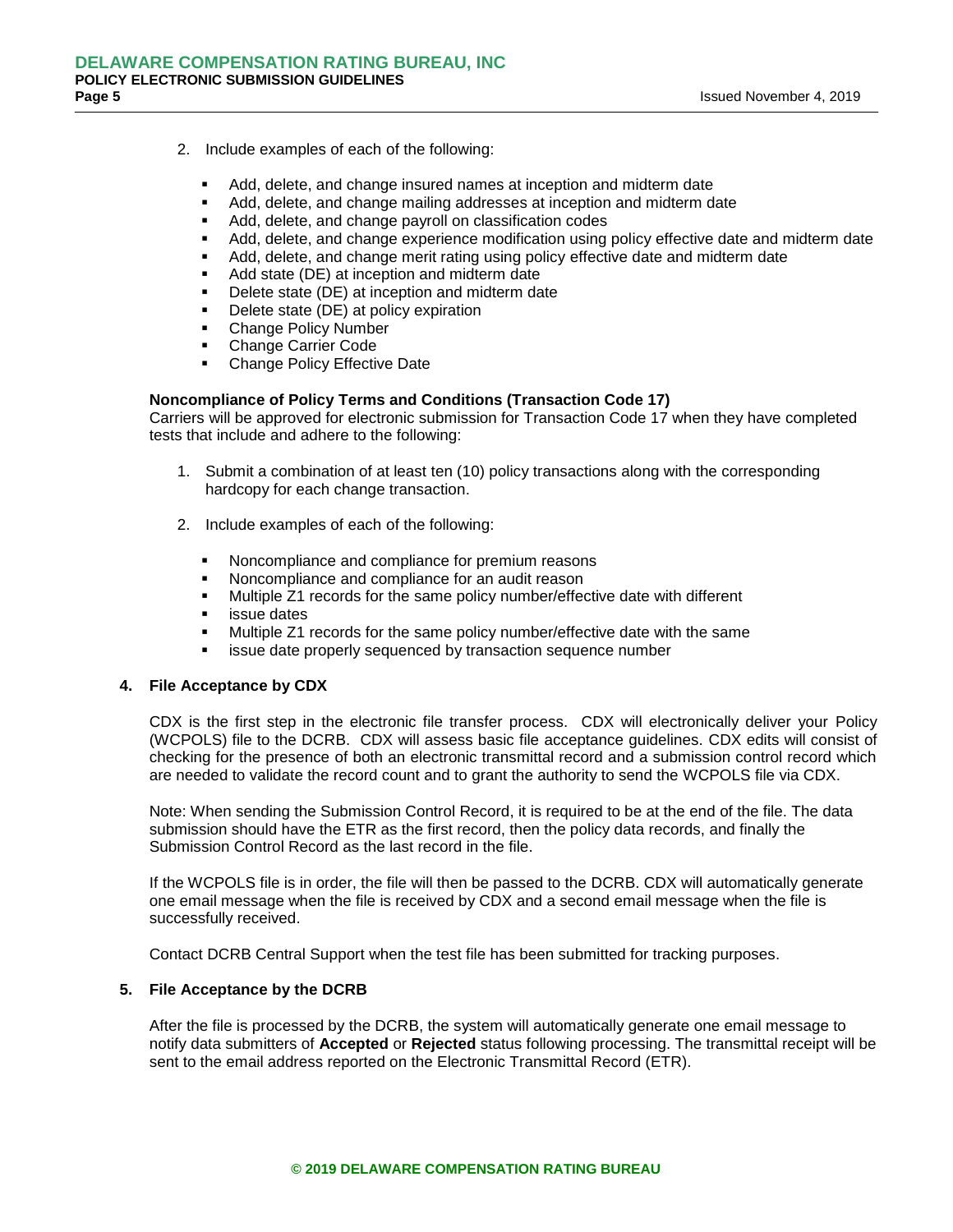- 2. Include examples of each of the following:
	- Add, delete, and change insured names at inception and midterm date
	- Add, delete, and change mailing addresses at inception and midterm date
	- Add, delete, and change payroll on classification codes
	- Add, delete, and change experience modification using policy effective date and midterm date
	- Add, delete, and change merit rating using policy effective date and midterm date
	- Add state (DE) at inception and midterm date
	- Delete state (DE) at inception and midterm date
	- Delete state (DE) at policy expiration
	- Change Policy Number
	- Change Carrier Code
	- Change Policy Effective Date

## **Noncompliance of Policy Terms and Conditions (Transaction Code 17)**

Carriers will be approved for electronic submission for Transaction Code 17 when they have completed tests that include and adhere to the following:

- 1. Submit a combination of at least ten (10) policy transactions along with the corresponding hardcopy for each change transaction.
- 2. Include examples of each of the following:
	- Noncompliance and compliance for premium reasons
	- Noncompliance and compliance for an audit reason
	- Multiple Z1 records for the same policy number/effective date with different
	- issue dates
	- Multiple Z1 records for the same policy number/effective date with the same
	- issue date properly sequenced by transaction sequence number

#### **4. File Acceptance by CDX**

CDX is the first step in the electronic file transfer process. CDX will electronically deliver your Policy (WCPOLS) file to the DCRB. CDX will assess basic file acceptance guidelines. CDX edits will consist of checking for the presence of both an electronic transmittal record and a submission control record which are needed to validate the record count and to grant the authority to send the WCPOLS file via CDX.

Note: When sending the Submission Control Record, it is required to be at the end of the file. The data submission should have the ETR as the first record, then the policy data records, and finally the Submission Control Record as the last record in the file.

If the WCPOLS file is in order, the file will then be passed to the DCRB. CDX will automatically generate one email message when the file is received by CDX and a second email message when the file is successfully received.

Contact DCRB Central Support when the test file has been submitted for tracking purposes.

## **5. File Acceptance by the DCRB**

After the file is processed by the DCRB, the system will automatically generate one email message to notify data submitters of **Accepted** or **Rejected** status following processing. The transmittal receipt will be sent to the email address reported on the Electronic Transmittal Record (ETR).